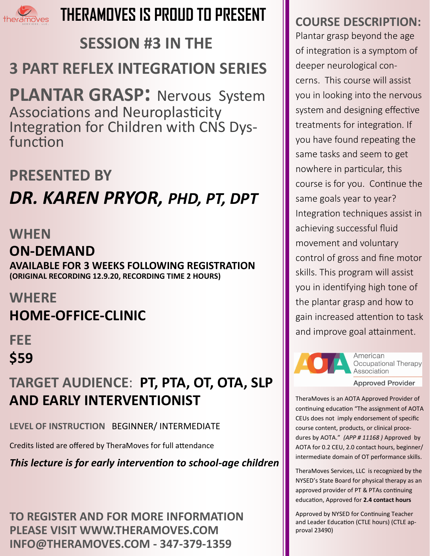

# **THERAMOVES IS PROUD TO PRESENT**

# **SESSION #3 IN THE 3 PART REFLEX INTEGRATION SERIES**

**PLANTAR GRASP:** Nervous System Associations and Neuroplasticity Integration for Children with CNS Dysfunction

# **PRESENTED BY**  *DR. KAREN PRYOR, PHD, PT, DPT*

### **WHEN**

## **ON-DEMAND**

**AVAILABLE FOR 3 WEEKS FOLLOWING REGISTRATION (ORIGINAL RECORDING 12.9.20, RECORDING TIME 2 HOURS)**

## **WHERE**

# **HOME-OFFICE-CLINIC**

**FEE \$59**

# **TARGET AUDIENCE**: **PT, PTA, OT, OTA, SLP AND EARLY INTERVENTIONIST**

**LEVEL OF INSTRUCTION** BEGINNER/ INTERMEDIATE

Credits listed are offered by TheraMoves for full attendance

*This lecture is for early intervention to school-age children*

**TO REGISTER AND FOR MORE INFORMATION PLEASE VISIT WWW.THERAMOVES.COM INFO@THERAMOVES.COM - 347-379-1359**

## **COURSE DESCRIPTION:**

Plantar grasp beyond the age of integration is a symptom of deeper neurological concerns. This course will assist you in looking into the nervous system and designing effective treatments for integration. If you have found repeating the same tasks and seem to get nowhere in particular, this course is for you. Continue the same goals year to year? Integration techniques assist in achieving successful fluid movement and voluntary control of gross and fine motor skills. This program will assist you in identifying high tone of the plantar grasp and how to gain increased attention to task and improve goal attainment.



American Occupational Therapy Association

**Approved Provider** 

TheraMoves is an AOTA Approved Provider of continuing education "The assignment of AOTA CEUs does not imply endorsement of specific course content, products, or clinical procedures by AOTA." *(APP # 11168 )* Approved by AOTA for 0.2 CEU, 2.0 contact hours, beginner/ intermediate domain of OT performance skills.

TheraMoves Services, LLC is recognized by the NYSED's State Board for physical therapy as an approved provider of PT & PTAs continuing education, Approved for **2.4 contact hours**

Approved by NYSED for Continuing Teacher and Leader Education (CTLE hours) (CTLE approval 23490)